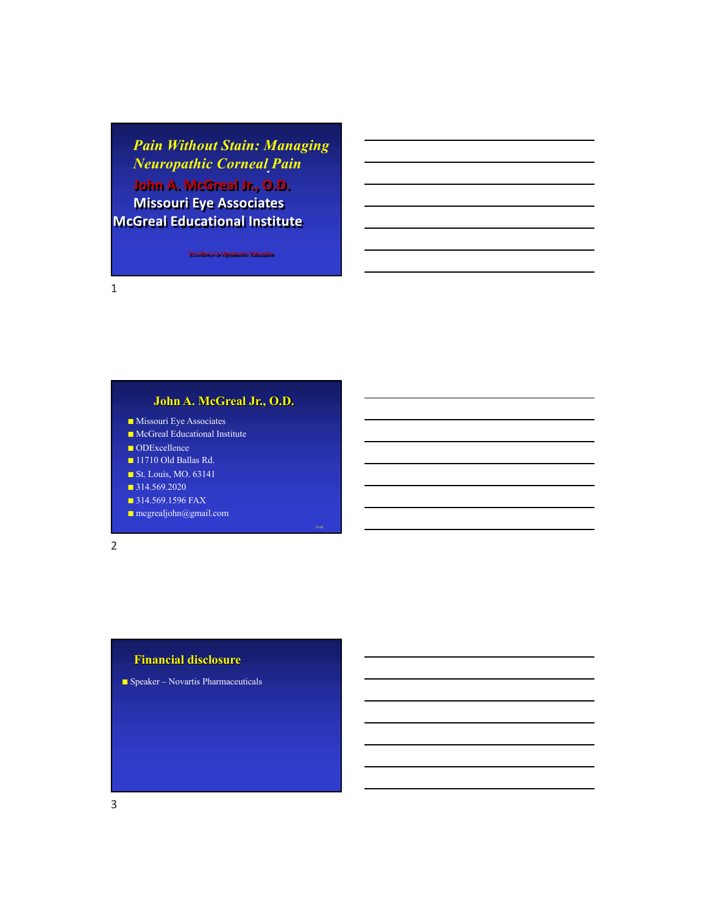*Pain Without Stain: Managing Neuropathic Corneal Pain*

**John A. McGreal Jr., O.D. Missouri Eye Associates McGreal Educational Institute**

*Excellence in Optometric Education*

1

## **John A. McGreal Jr., O.D.**

- Missouri Eye Associates
- McGreal Educational Institute
- ODExcellence
- 11710 Old Ballas Rd.
- St. Louis, MO. 63141
- 314.569.2020
- **B** 314.569.1596 FAX
- mcgrealjohn@gmail.com

2

## **Financial disclosure**

■ Speaker – Novartis Pharmaceuticals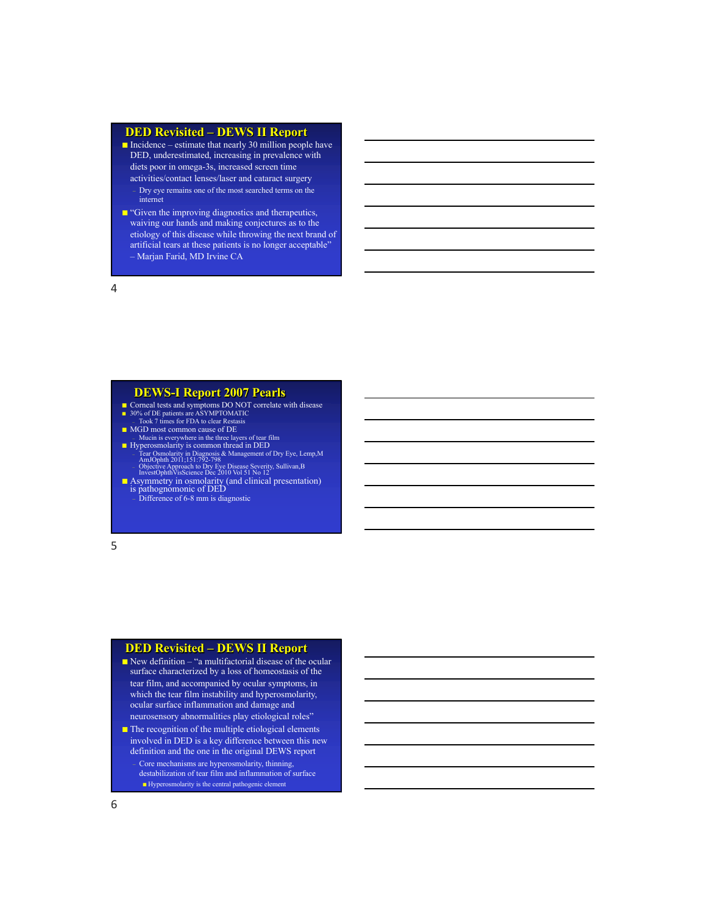#### **DED Revisited – DEWS II Report**

■ Incidence – estimate that nearly 30 million people have DED, underestimated, increasing in prevalence with diets poor in omega-3s, increased screen time activities/contact lenses/laser and cataract surgery – Dry eye remains one of the most searched terms on the internet

■ "Given the improving diagnostics and therapeutics, waiving our hands and making conjectures as to the etiology of this disease while throwing the next brand of artificial tears at these patients is no longer acceptable" – Marjan Farid, MD Irvine CA

4

#### **DEWS-I Report 2007 Pearls**

■ Corneal tests and symptoms DO NOT correlate with disease ■ 30% of DE patients are ASYMPTOMATIC<br>Took 7 times for FDA to clear Restasis

- MGD most common cause of DE
- Mucin is everywhere in the three layers of tear film Hyperosmolarity is common thread in DED

– Tear Osmolarity in Diagnosis & Management of Dry Eye, Lemp,M AmJOphth 2011;151:792-798 – Objective Approach to Dry Eye Disease Severity, Sullivan,B InvestOphthVisScience Dec 2010 Vol 51 No 12

■ Asymmetry in osmolarity (and clinical presentation)<br>is pathognomonic of DED<br>- Difference of 6-8 mm is diagnostic

5

## **DED Revisited – DEWS II Report**

- New definition "a multifactorial disease of the ocular surface characterized by a loss of homeostasis of the tear film, and accompanied by ocular symptoms, in which the tear film instability and hyperosmolarity, ocular surface inflammation and damage and neurosensory abnormalities play etiological roles"
- The recognition of the multiple etiological elements involved in DED is a key difference between this new definition and the one in the original DEWS report

– Core mechanisms are hyperosmolarity, thinning, destabilization of tear film and inflammation of surface ■ Hyperosmolarity is the central pathogenic element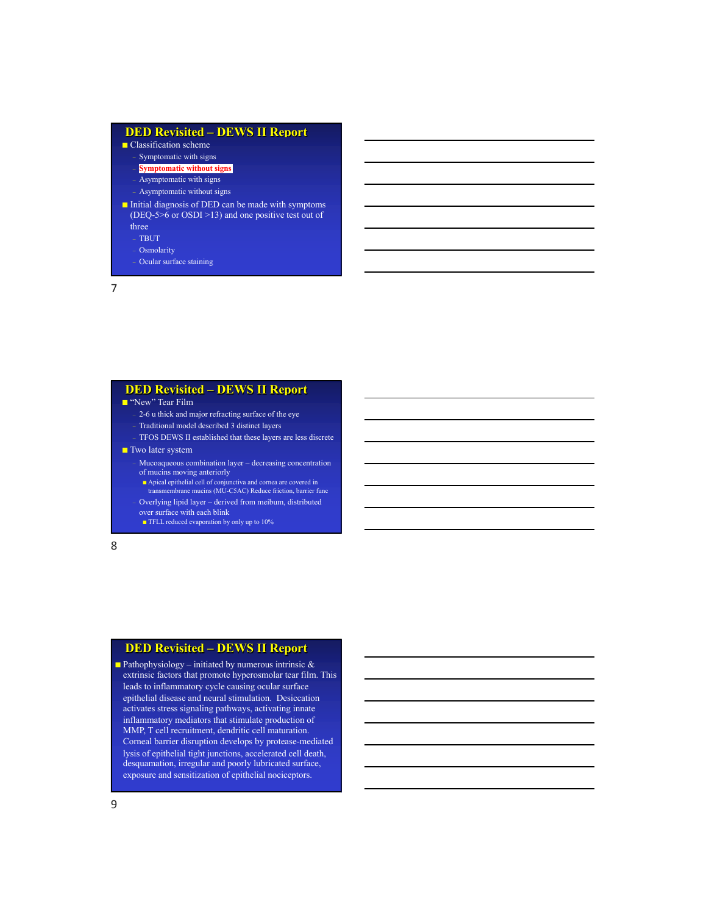#### **DED Revisited – DEWS II Report** ■ Classification scheme Symptomatic with signs – **Symptomatic without signs** – Asymptomatic with signs – Asymptomatic without signs ■ Initial diagnosis of DED can be made with symptoms (DEQ-5>6 or OSDI >13) and one positive test out of three – TBUT **Osmolarity** – Ocular surface staining

7

#### **DED Revisited – DEWS II Report**

■ "New" Tear Film

- 2-6 u thick and major refracting surface of the eye
- Traditional model described 3 distinct layers
- TFOS DEWS II established that these layers are less discrete
- Two later system
	- Mucoaqueous combination layer decreasing concentration of mucins moving anteriorly
	- Apical epithelial cell of conjunctiva and cornea are covered in transmembrane mucins (MU-C5AC) Reduce friction, barrier func
	- Overlying lipid layer derived from meibum, distributed
	- over surface with each blink
	- TFLL reduced evaporation by only up to 10%

8

## **DED Revisited – DEWS II Report**

**Pathophysiology** – initiated by numerous intrinsic  $\&$ extrinsic factors that promote hyperosmolar tear film. This leads to inflammatory cycle causing ocular surface epithelial disease and neural stimulation. Desiccation activates stress signaling pathways, activating innate inflammatory mediators that stimulate production of MMP, T cell recruitment, dendritic cell maturation. Corneal barrier disruption develops by protease-mediated lysis of epithelial tight junctions, accelerated cell death, desquamation, irregular and poorly lubricated surface, exposure and sensitization of epithelial nociceptors.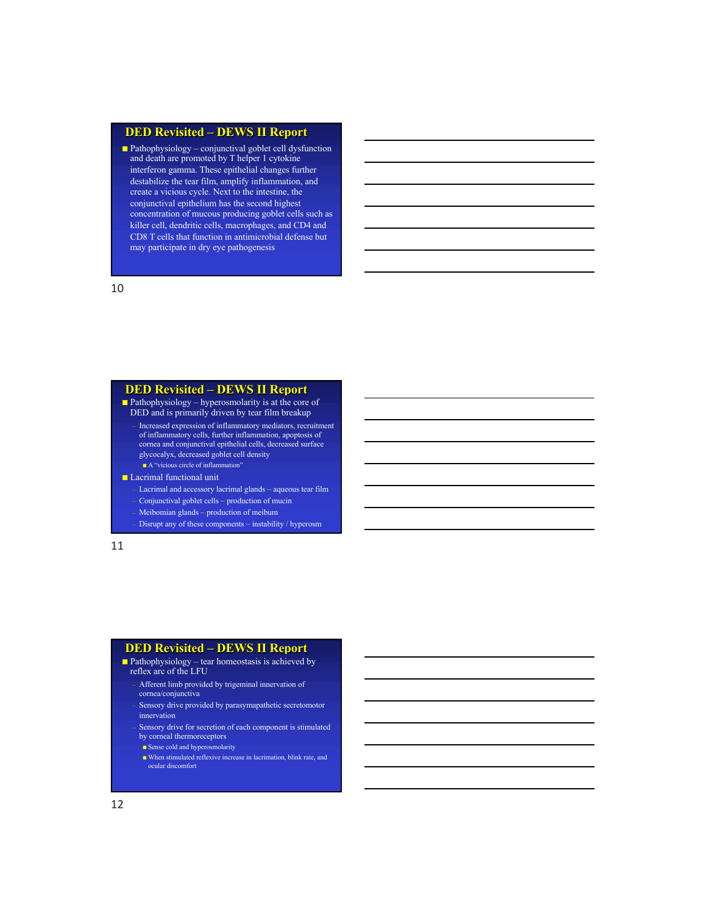### **DED Revisited – DEWS II Report**

■ Pathophysiology – conjunctival goblet cell dysfunction and death are promoted by T helper 1 cytokine interferon gamma. These epithelial changes further destabilize the tear film, amplify inflammation, and create a vicious cycle. Next to the intestine, the conjunctival epithelium has the second highest concentration of mucous producing goblet cells such as killer cell, dendritic cells, macrophages, and CD4 and CD8 T cells that function in antimicrobial defense but may participate in dry eye pathogenesis

10

## **DED Revisited – DEWS II Report**

 $\blacksquare$  Pathophysiology – hyperosmolarity is at the core of DED and is primarily driven by tear film breakup – Increased expression of inflammatory mediators, recruitment

of inflammatory cells, further inflammation, apoptosis of cornea and conjunctival epithelial cells, decreased surface glycocalyx, decreased goblet cell density ■ A "vicious circle of inflammation"

#### ■ Lacrimal functional unit

– Lacrimal and accessory lacrimal glands – aqueous tear film

– Conjunctival goblet cells – production of mucin

– Meibomian glands – production of meibum

– Disrupt any of these components – instability / hyperosm

11

### **DED Revisited – DEWS II Report**

 $\blacksquare$  Pathophysiology – tear homeostasis is achieved by

- reflex arc of the LFU – Afferent limb provided by trigeminal innervation of
	- cornea/conjunctiva Sensory drive provided by parasymapathetic secretomotor

innervation – Sensory drive for secretion of each component is stimulated

by corneal thermoreceptors ■ Sense cold and hyperosmolarity

■ When stimulated reflexive increase in lacrimation, blink rate, and ocular discomfort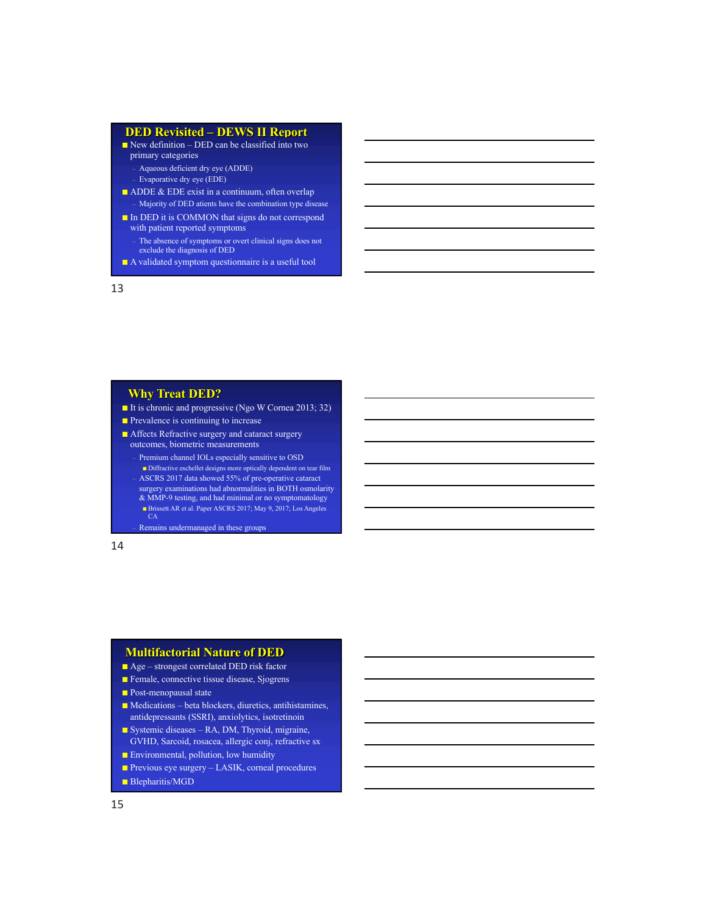#### **DED Revisited – DEWS II Report**

New definition – DED can be classified into two primary categories

– Aqueous deficient dry eye (ADDE) – Evaporative dry eye (EDE)

- ADDE & EDE exist in a continuum, often overlap – Majority of DED atients have the combination type disease
- In DED it is COMMON that signs do not correspond with patient reported symptoms
	- The absence of symptoms or overt clinical signs does not exclude the diagnosis of DED
- A validated symptom questionnaire is a useful tool

13

## **Why Treat DED?**

■ It is chronic and progressive (Ngo W Cornea 2013; 32)

- Prevalence is continuing to increase
- Affects Refractive surgery and cataract surgery outcomes, biometric measurements
	- Premium channel IOLs especially sensitive to OSD
	- $\blacksquare$ <br> <br> Diffractive eschellet designs more optically dependent on tear film – ASCRS 2017 data showed 55% of pre-operative cataract
	- surgery examinations had abnormalities in BOTH osmolarity & MMP-9 testing, and had minimal or no symptomatology
	- Brissett AR et al. Paper ASCRS 2017; May 9, 2017; Los Angeles CA

– Remains undermanaged in these groups

14

#### **Multifactorial Nature of DED**

- Age strongest correlated DED risk factor
- Female, connective tissue disease, Sjogrens
- Post-menopausal state
- Medications beta blockers, diuretics, antihistamines, antidepressants (SSRI), anxiolytics, isotretinoin
- Systemic diseases RA, DM, Thyroid, migraine, GVHD, Sarcoid, rosacea, allergic conj, refractive sx
- Environmental, pollution, low humidity
- Previous eye surgery LASIK, corneal procedures
- Blepharitis/MGD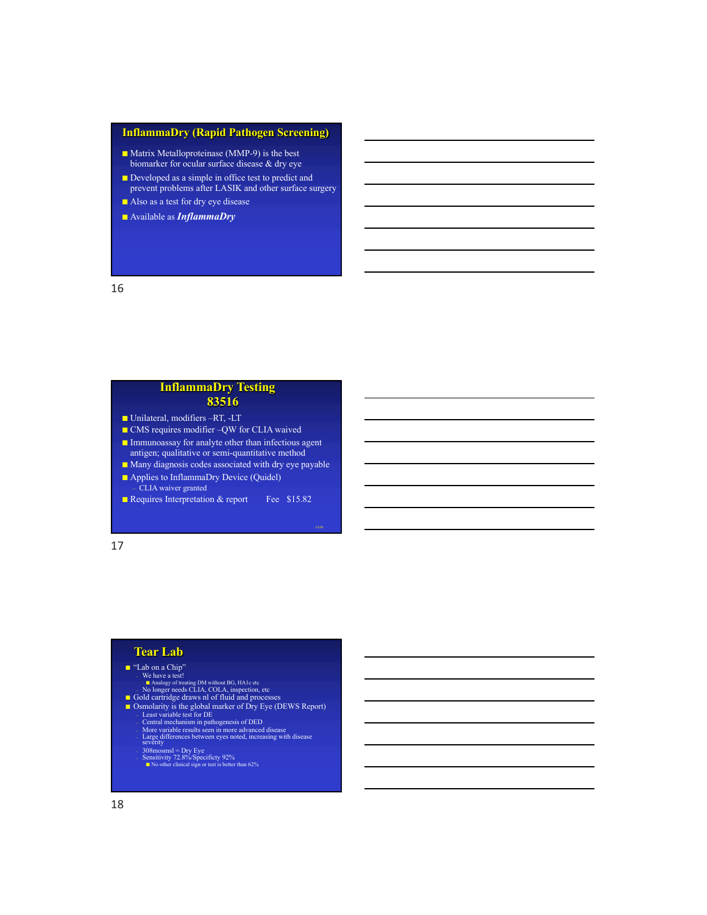### **InflammaDry (Rapid Pathogen Screening)**

- Matrix Metalloproteinase (MMP-9) is the best biomarker for ocular surface disease & dry eye
- Developed as a simple in office test to predict and prevent problems after LASIK and other surface surgery
- Also as a test for dry eye disease
- Available as *InflammaDry*

#### 16

# **InflammaDry Testing 83516**

- Unilateral, modifiers –RT, -LT
- CMS requires modifier –QW for CLIA waived ■ Immunoassay for analyte other than infectious agent
- antigen; qualitative or semi-quantitative method
- Many diagnosis codes associated with dry eye payable
- Applies to InflammaDry Device (Quidel) – CLIA waiver granted
- Requires Interpretation & report Fee \$15.82

#### 17

## **Tear Lab**

- **The Section Schiff (SCS)**<br>
We have a test!<br> **EXECUTE A** Analogy of treating DM without BG, HA1e etc **No longer needs CLIA, COLA**, inspection, etc **No longer needs CLIA**, COLA, inspection, **COLA**<br> **EXECUTE OF SCS**<br>
**C** 
	-
	-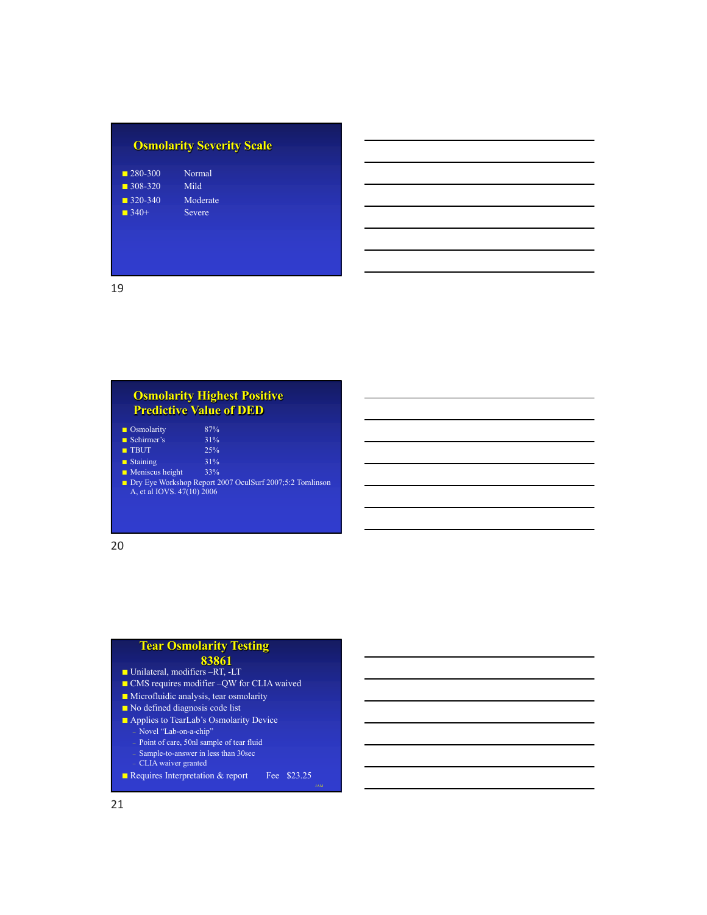| <b>Osmolarity Severity Scale</b> |          |  |
|----------------------------------|----------|--|
| $-280-300$                       | Normal   |  |
| $\blacksquare$ 308-320           | Mild     |  |
| $-320-340$                       | Moderate |  |
| $-340+$                          | Severe   |  |
|                                  |          |  |
|                                  |          |  |
|                                  |          |  |
|                                  |          |  |

19

# **Osmolarity Highest Positive Predictive Value of DED**

| $\blacksquare$ Osmolarity      | 87%                                                      |
|--------------------------------|----------------------------------------------------------|
| Schirmer's                     | 31%                                                      |
| $\blacksquare$ TBUT            | 25%                                                      |
| $\blacksquare$ Staining        | 31%                                                      |
| $\blacksquare$ Meniscus height | 33%                                                      |
| A, et al IOVS. 47(10) 2006     | Dry Eye Workshop Report 2007 OculSurf 2007;5:2 Tomlinson |

20

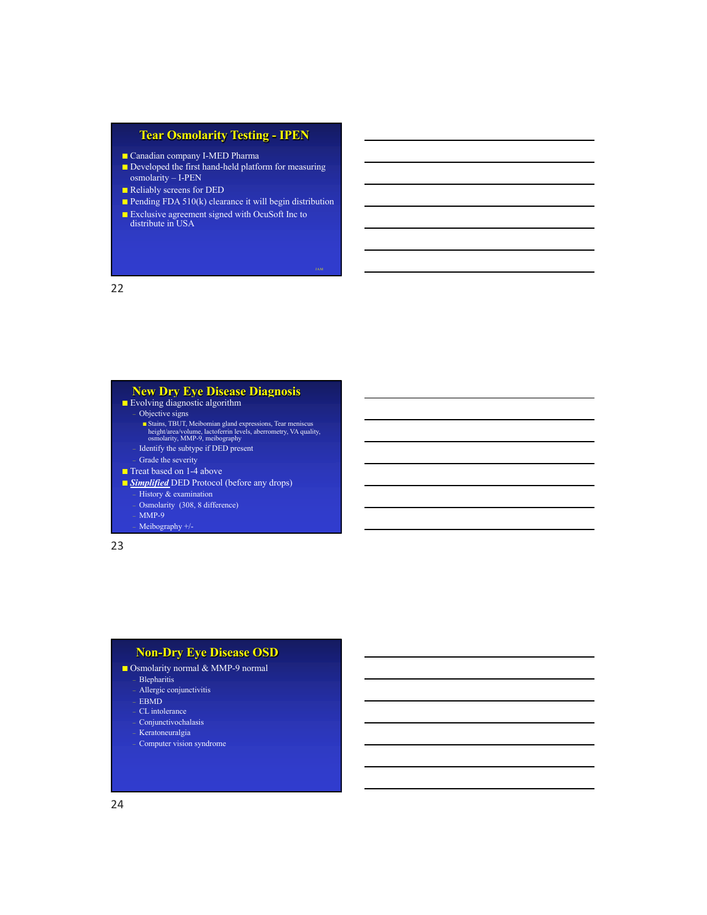## **Tear Osmolarity Testing - IPEN**

- Canadian company I-MED Pharma
- Developed the first hand-held platform for measuring osmolarity – I-PEN
- Reliably screens for DED
- Pending FDA  $510(k)$  clearance it will begin distribution

JAM

■ Exclusive agreement signed with OcuSoft Inc to distribute in USA

22

#### **New Dry Eye Disease Diagnosis** ■ Evolving diagnostic algorithm

- - Objective signs Stains, TBUT, Meibomian gland expressions, Tear meniscus height/area/volume, lactoferrin levels, aberrometry, VA quality, osmolarity, MMP-9, meibography
	- Identify the subtype if DED present
	- Grade the severity
- Treat based on 1-4 above
- 
- *Simplified* DED Protocol (before any drops) History & examination
	- Osmolarity (308, 8 difference)
	- $MMP-9$
	- Meibography +/-

23

## **Non-Dry Eye Disease OSD**

- Osmolarity normal & MMP-9 normal
	- Blepharitis
	- Allergic conjunctivitis
	- EBMD
	- CL intolerance
	- Conjunctivochalasis – Keratoneuralgia
	- Computer vision syndrome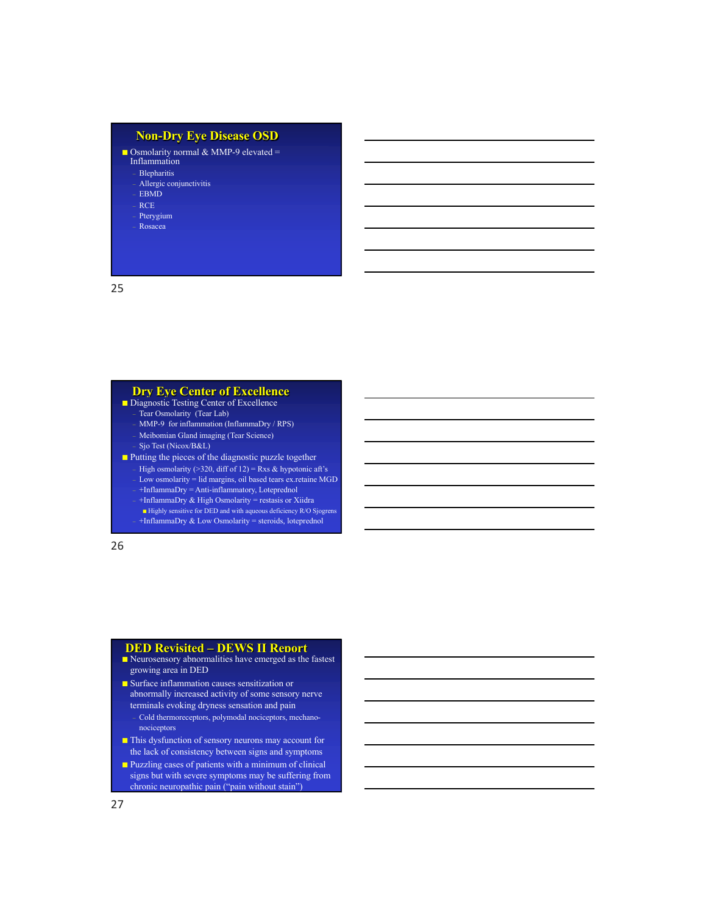## **Non-Dry Eye Disease OSD**

Osmolarity normal & MMP-9 elevated =

Inflammation

– Blepharitis – Allergic conjunctivitis

– EBMD

- RCE
- Pterygium
- Rosacea

25

#### **Dry Eye Center of Excellence**

- Diagnostic Testing Center of Excellence
	- Tear Osmolarity (Tear Lab)
	- MMP-9 for inflammation (InflammaDry / RPS)
	- Meibomian Gland imaging (Tear Science) – Sjo Test (Nicox/B&L)
- Putting the pieces of the diagnostic puzzle together
	- High osmolarity (>320, diff of 12) = Rxs & hypotonic aft's
	- Low osmolarity = lid margins, oil based tears ex.retaine MGD
	- +InflammaDry = Anti-inflammatory, Loteprednol – +InflammaDry & High Osmolarity = restasis or Xiidra
	- Highly sensitive for DED and with aqueous deficiency R/O Sjogrens
	- +InflammaDry & Low Osmolarity = steroids, loteprednol

26

### **DED Revisited – DEWS II Report**

- Neurosensory abnormalities have emerged as the fastest growing area in DED
- Surface inflammation causes sensitization or abnormally increased activity of some sensory nerve terminals evoking dryness sensation and pain
	- Cold thermoreceptors, polymodal nociceptors, mechanonociceptors
- This dysfunction of sensory neurons may account for the lack of consistency between signs and symptoms
- Puzzling cases of patients with a minimum of clinical signs but with severe symptoms may be suffering from chronic neuropathic pain ("pain without stain")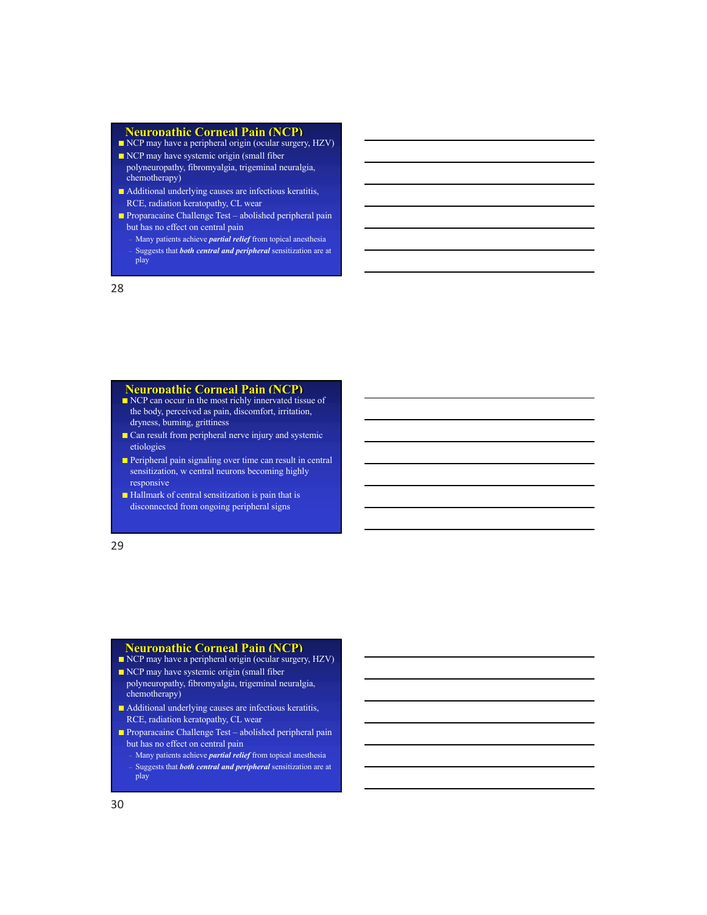#### **Neuropathic Corneal Pain (NCP)**

- NCP may have a peripheral origin (ocular surgery, HZV)
- NCP may have systemic origin (small fiber polyneuropathy, fibromyalgia, trigeminal neuralgia, chemotherapy)
- Additional underlying causes are infectious keratitis, RCE, radiation keratopathy, CL wear
- Proparacaine Challenge Test abolished peripheral pain but has no effect on central pain
- Many patients achieve *partial relief* from topical anesthesia – Suggests that *both central and peripheral* sensitization are at play

28

#### **Neuropathic Corneal Pain (NCP)**

- NCP can occur in the most richly innervated tissue of the body, perceived as pain, discomfort, irritation, dryness, burning, grittiness
- Can result from peripheral nerve injury and systemic etiologies
- Peripheral pain signaling over time can result in central sensitization, w central neurons becoming highly responsive
- Hallmark of central sensitization is pain that is disconnected from ongoing peripheral signs

29

### **Neuropathic Corneal Pain (NCP)**

- NCP may have a peripheral origin (ocular surgery, HZV) ■ NCP may have systemic origin (small fiber
- polyneuropathy, fibromyalgia, trigeminal neuralgia, chemotherapy)
- Additional underlying causes are infectious keratitis, RCE, radiation keratopathy, CL wear
- Proparacaine Challenge Test abolished peripheral pain but has no effect on central pain
- Many patients achieve *partial relief* from topical anesthesia – Suggests that *both central and peripheral* sensitization are at play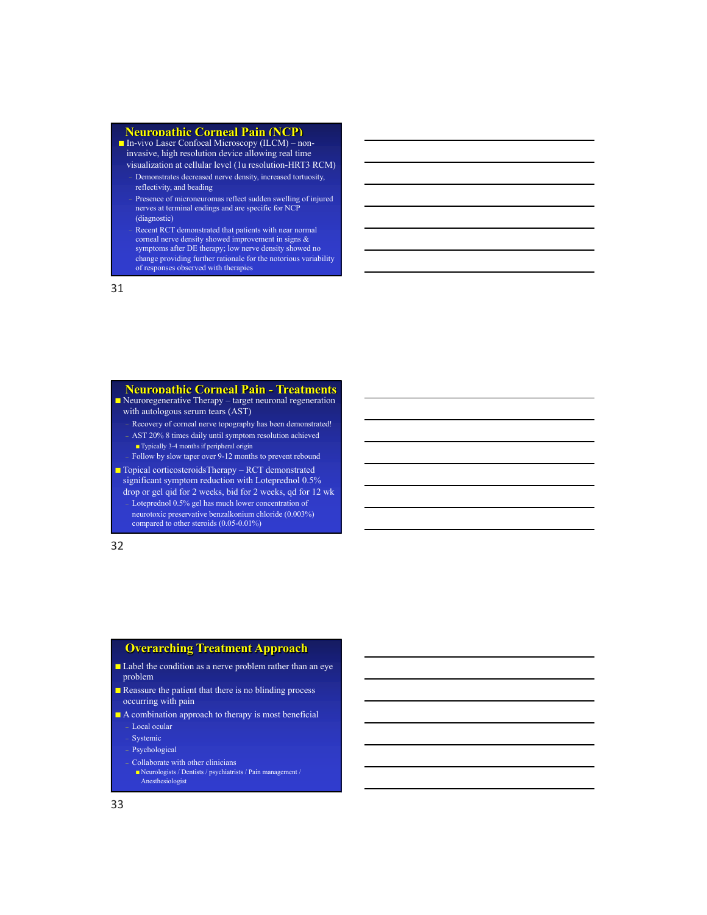#### **Neuropathic Corneal Pain (NCP)**

■ In-vivo Laser Confocal Microscopy (ILCM) – noninvasive, high resolution device allowing real time visualization at cellular level (1u resolution-HRT3 RCM)

- Demonstrates decreased nerve density, increased tortuosity, reflectivity, and beading
- Presence of microneuromas reflect sudden swelling of injured nerves at terminal endings and are specific for NCP (diagnostic)
- Recent RCT demonstrated that patients with near normal corneal nerve density showed improvement in signs & symptoms after DE therapy; low nerve density showed no change providing further rationale for the notorious variability of responses observed with therapies

31

## **Neuropathic Corneal Pain - Treatments**

- Neuroregenerative Therapy target neuronal regeneration
- with autologous serum tears (AST)
- Recovery of corneal nerve topography has been demonstrated! – AST 20% 8 times daily until symptom resolution achieved ■ Typically 3-4 months if peripheral origin
- Follow by slow taper over 9-12 months to prevent rebound

■ Topical corticosteroidsTherapy – RCT demonstrated significant symptom reduction with Loteprednol 0.5%

drop or gel qid for 2 weeks, bid for 2 weeks, qd for 12 wk – Loteprednol 0.5% gel has much lower concentration of neurotoxic preservative benzalkonium chloride (0.003%) compared to other steroids (0.05-0.01%)

32

## **Overarching Treatment Approach**

- Label the condition as a nerve problem rather than an eye problem
- Reassure the patient that there is no blinding process occurring with pain
- A combination approach to therapy is most beneficial – Local ocular
	- Systemic
	- Psychological
	- Collaborate with other clinicians
	- Neurologists / Dentists / psychiatrists / Pain management / Anesthesiologist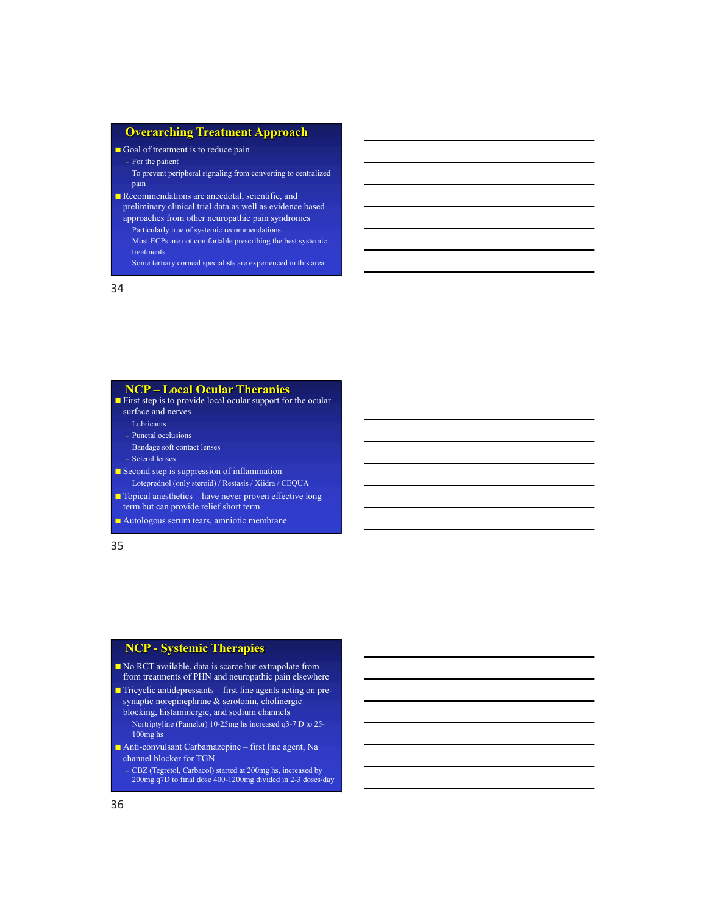### **Overarching Treatment Approach**

■ Goal of treatment is to reduce pain

- For the patient
- To prevent peripheral signaling from converting to centralized pain
- Recommendations are anecdotal, scientific, and
- preliminary clinical trial data as well as evidence based approaches from other neuropathic pain syndromes – Particularly true of systemic recommendations
- Most ECPs are not comfortable prescribing the best systemic treatments

– Some tertiary corneal specialists are experienced in this area

34

#### **NCP – Local Ocular Therapies**

■ First step is to provide local ocular support for the ocular surface and nerves

- Lubricants
- Punctal occlusions
- Bandage soft contact lenses
- Scleral lenses
- Second step is suppression of inflammation – Loteprednol (only steroid) / Restasis / Xiidra / CEQUA
- Topical anesthetics have never proven effective long
- term but can provide relief short term
- Autologous serum tears, amniotic membrane

35

## **NCP - Systemic Therapies**

- No RCT available, data is scarce but extrapolate from from treatments of PHN and neuropathic pain elsewhere
- Tricyclic antidepressants first line agents acting on presynaptic norepinephrine & serotonin, cholinergic
- blocking, histaminergic, and sodium channels – Nortriptyline (Pamelor) 10-25mg hs increased q3-7 D to 25- 100mg hs
- Anti-convulsant Carbamazepine first line agent, Na channel blocker for TGN
- CBZ (Tegretol, Carbacol) started at 200mg hs, increased by 200mg q7D to final dose 400-1200mg divided in 2-3 doses/day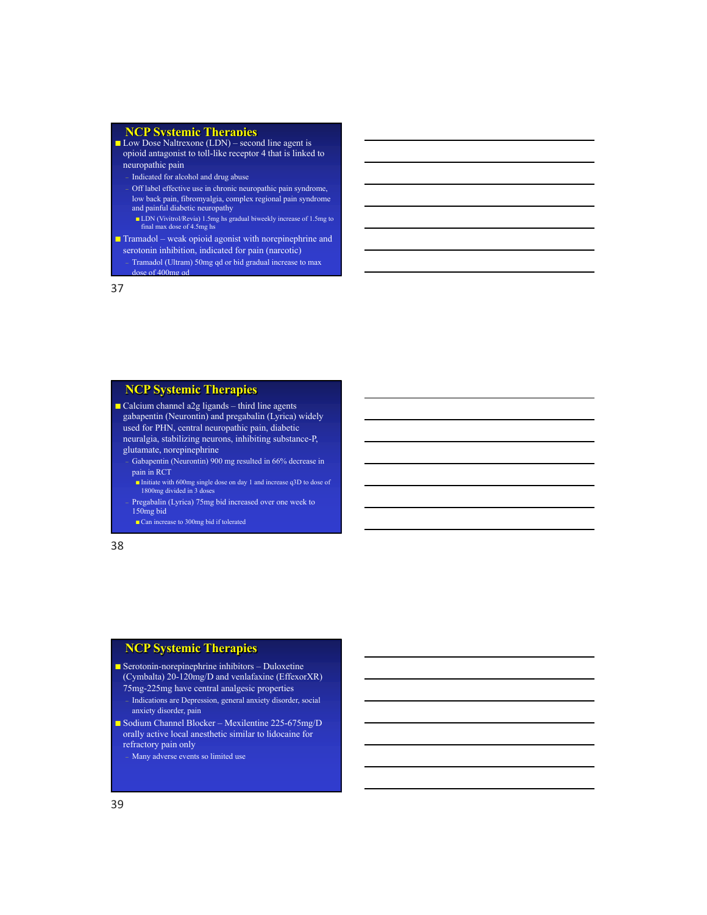#### **NCP Systemic Therapies**

■ Low Dose Naltrexone (LDN) – second line agent is opioid antagonist to toll-like receptor 4 that is linked to neuropathic pain

- Indicated for alcohol and drug abuse
- Off label effective use in chronic neuropathic pain syndrome, low back pain, fibromyalgia, complex regional pain syndrome and painful diabetic neuropathy
- LDN (Vivitrol/Revia) 1.5mg hs gradual biweekly increase of 1.5mg to final max dose of 4.5mg hs
- **Tramadol** weak opioid agonist with norepinephrine and serotonin inhibition, indicated for pain (narcotic)

– Tramadol (Ultram) 50mg qd or bid gradual increase to max dose of 400mg ad

37

## **NCP Systemic Therapies**

- $\Box$  Calcium channel a2g ligands third line agents gabapentin (Neurontin) and pregabalin (Lyrica) widely used for PHN, central neuropathic pain, diabetic neuralgia, stabilizing neurons, inhibiting substance-P, glutamate, norepinephrine
	- Gabapentin (Neurontin) 900 mg resulted in 66% decrease in pain in RCT
	- Initiate with 600mg single dose on day 1 and increase q3D to dose of 1800mg divided in 3 doses
	- Pregabalin (Lyrica) 75mg bid increased over one week to 150mg bid
		- Can increase to 300mg bid if tolerated

38

## **NCP Systemic Therapies**

- Serotonin-norepinephrine inhibitors Duloxetine (Cymbalta) 20-120mg/D and venlafaxine (EffexorXR)
- 75mg-225mg have central analgesic properties – Indications are Depression, general anxiety disorder, social anxiety disorder, pain
- Sodium Channel Blocker Mexilentine 225-675mg/D orally active local anesthetic similar to lidocaine for refractory pain only

– Many adverse events so limited use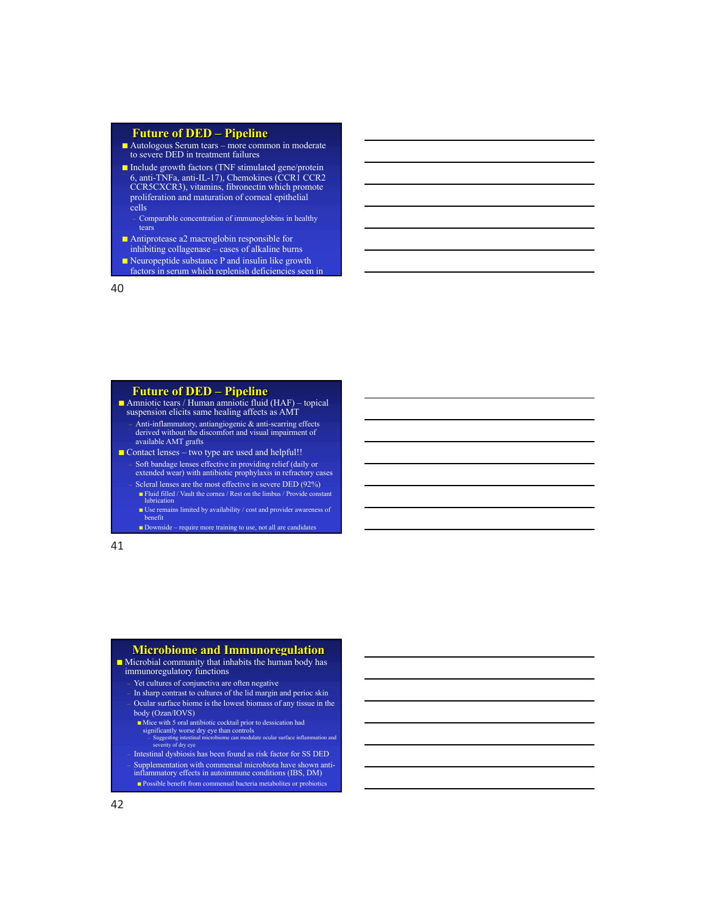### **Future of DED – Pipeline**

- Autologous Serum tears more common in moderate to severe DED in treatment failures
- Include growth factors (TNF stimulated gene/protein 6, anti-TNFa, anti-IL-17), Chemokines (CCR1 CCR2 CCR5CXCR3), vitamins, fibronectin which promote proliferation and maturation of corneal epithelial cells
	- Comparable concentration of immunoglobins in healthy tears
- Antiprotease a2 macroglobin responsible for inhibiting collagenase – cases of alkaline burns
- Neuropeptide substance P and insulin like growth
- factors in serum which replenish deficiencies seen in

40 and  $40<sub>1</sub>$ 

## **Future of DED – Pipeline**

■ Amniotic tears / Human amniotic fluid (HAF) – topical suspension elicits same healing affects as AMT

- Anti-inflammatory, antiangiogenic & anti-scarring effects derived without the discomfort and visual impairment of available AMT grafts
- Contact lenses two type are used and helpful!!
	- Soft bandage lenses effective in providing relief (daily or extended wear) with antibiotic prophylaxis in refractory cases Scleral lenses are the most effective in severe DED (92%)
		- Fluid filled / Vault the cornea / Rest on the limbus / Provide constant lubrication ■ Use remains limited by availability / cost and provider awareness of
		- benefit ■ Downside – require more training to use, not all are candidates

41

### **Microbiome and Immunoregulation**

- Microbial community that inhabits the human body has
	- immunoregulatory functions
	- Yet cultures of conjunctiva are often negative
	- In sharp contrast to cultures of the lid margin and perioc skin – Ocular surface biome is the lowest biomass of any tissue in the body (Ozan/IOVS)
	- Mice with 5 oral antibiotic cocktail prior to dessication had
		- significantly worse dry eye than controls Suggesting intestinal microbiome can modulate ocular surface inflammation and severity of dry eye
- Intestinal dysbiosis has been found as risk factor for SS DED – Supplementation with commensal microbiota have shown anti- inflammatory effects in autoimmune conditions (IBS, DM) ■ Possible benefit from commensal bacteria metabolites or probiotics